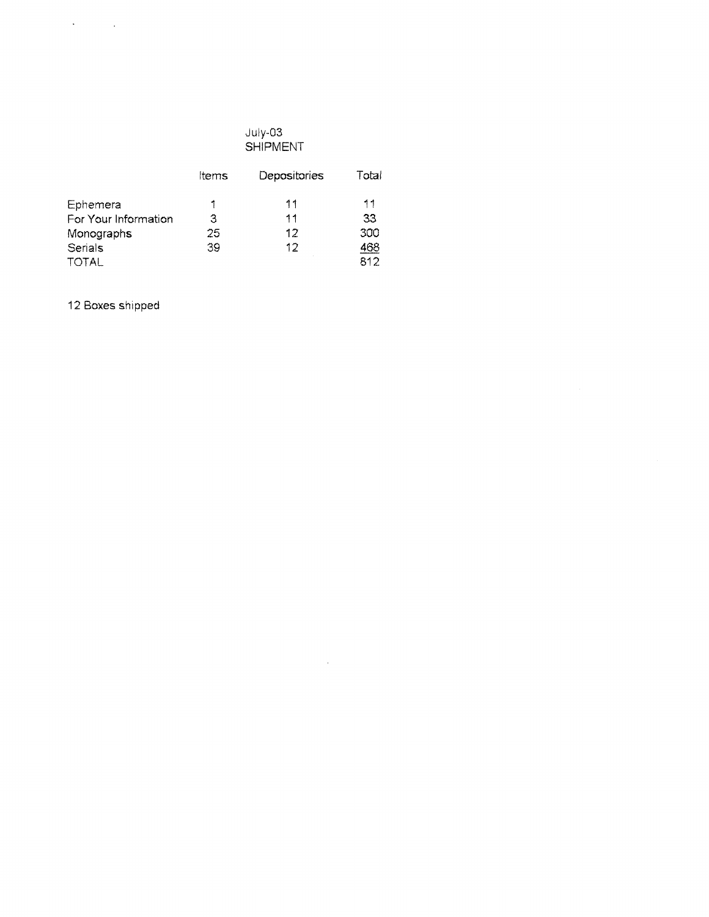# July-03 SHIPMENT

 $\mathcal{L}^{\text{max}}_{\text{max}}$  ,  $\mathcal{L}^{\text{max}}_{\text{max}}$ 

|                      | ltems | Depositories | Total |
|----------------------|-------|--------------|-------|
| Ephemera             |       | 11           | 11    |
| For Your Information | З     | 11           | 33    |
| Monographs           | 25    | 12           | 300   |
| Serials              | 39    | 12           | 468   |
| <b>TOTAL</b>         |       |              | 812   |

12 Boxes shipped

 $\mathcal{L}(\mathbf{A})$  and  $\mathcal{L}(\mathbf{A})$  .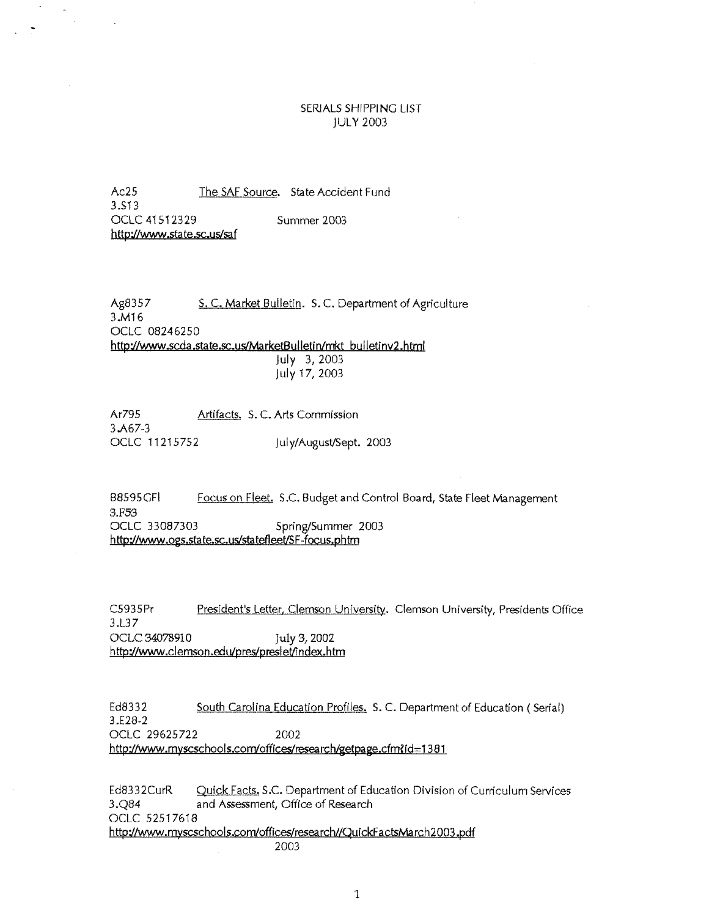### SERIALS SHIPPING LIST IULY 2003

Ac25 The SAF Source. State Accident Fund 3.513 OCLC 41512329 http://www.state.sc.us/saf Summer 2003

 $\sim$ 

 $\mathbb{R}^3$ 

Ag8357 S.C. Market Bulletin. S.C. Department of Agriculture 3.M16 OCLC 08246250 http://www.scda.state.sc.us/MarketBulletin/mkt bulletinv2.html July 3, 2003 july 17, 2003

Ar795 Artifacts. S.C. Arts Commission 3.A67-3 OCLC 11215752 july/August/Sept. 2003

B8595GFI Focus on Fleet. S.C. Budget and Control Board, State Fleet Management 3.F53<br>OCLC 33087303 Spring/Summer 2003 http://www .ogs.sta te.sc. us/sta tetleet/SF -focus.phtm

C5935Pr 3.L37 President's Letter, Clemson University. Clemson University, Presidents Office OCLC 34078910 July 3,2002 http://www.clemson.edu/pres/preslet/fndex.htm

Ed8332 3.E28-2 South Carolina Education Profiles. S. C. Department of Education (Serial) OCLC 29625722 2002 http://www.myscschools.com/offices/research/getpage.cfm?id=1381

Ed8332CurR Quick Facts. S.C. Department of Education Division of Curriculum Services 3.Q84 and Assessment, Office of Research OCLC 52517618 http://www.myscschools.com/offices/research//QuickFactsMarch2003.pdf 2003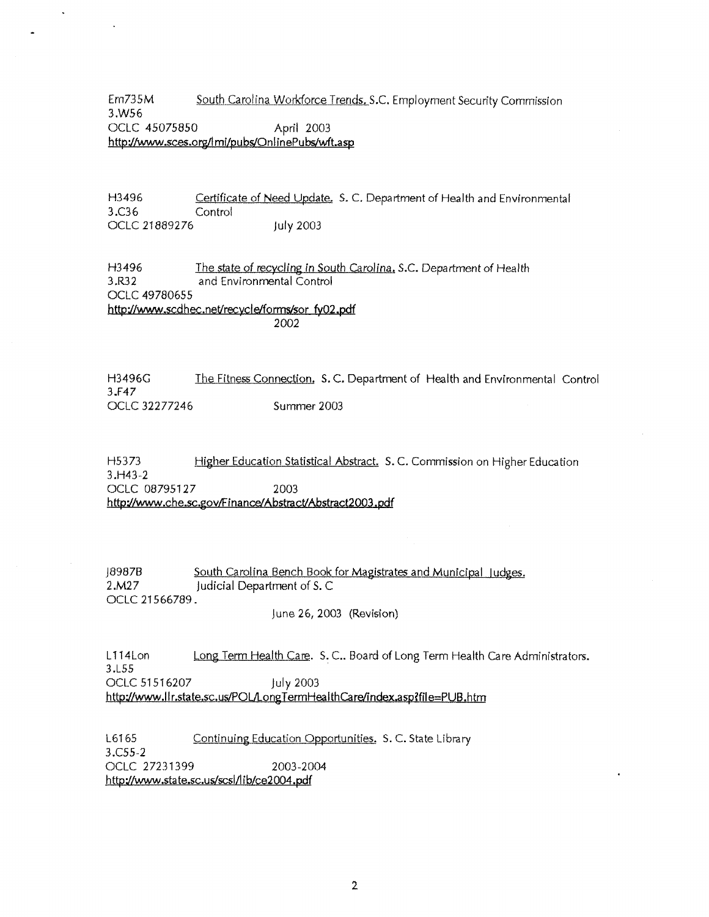Em735M South Carolina Workforce Trends. S.C. Employment Security Commission 3.WS6 OCLC 45075850 April 2003 http://www.sces.org/lmi/pubs/OnlinePubs/wft.asp

H3496 Certificate of Need Update, S. C. Department of Health and Environmental 3.C36 Control OCLC 21889276 july 2003

H3496 The state of recycling in South Carolina. S.C. Department of Health 3.R32 and Environmental Control and Environmental Control OCLC 49780655 http://www.scdhec.net/recycle/forms/sor\_fy02.pdf 2002

H3496G The Fitness Connection. S.C. Department of Health and Environmental Control 3.F47 OCLC 32277246 Summer 2003

H5373 Higher Education Statistical Abstract. S.C. Commission on Higher Education 3.H43-2 OCLC 08795127 2003 http://www.che.sc.gov/Finance/Abstract/Abstract2003.pdf

J89878 South Carolina Bench Book for Magistrates and Municipal Judges. 2.M27 judicial Department of S. C OCLC 21566789.

june 26, 2003 (Revision)

L 114Lon Long Term Health Care. S. C.. Board of Long Term Health Care Administrators. 3.L55 OCLC 51516207 july 2003 http://www.llr.state.sc.us/POL/LongTermHealthCare/index.asp?file=PUB.htm

L6165 Continuing Education Opportunities. S.C. State Library 3.C55-2 OCLC 27231399 2003-2004 http://www.state.sc.us/scsl/lib/ce2004.pdf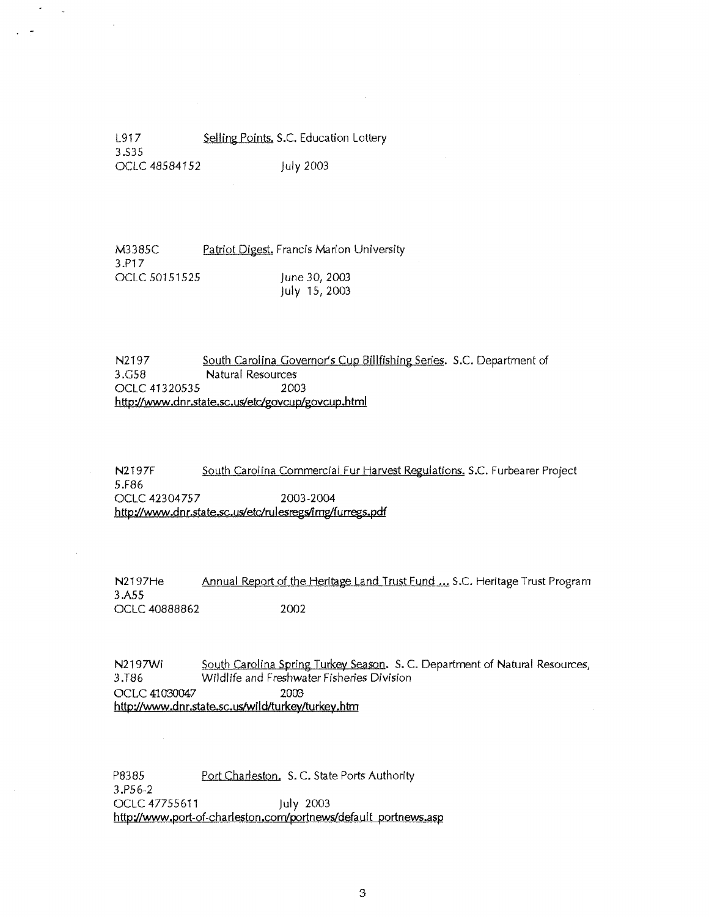L917 3.535 Selling Points, S.C. Education Lottery OCLC 48584152 july 2003

 $\overline{a}$ 

M3385C 3.P17 Patriot Digest. Francis Marion University OCLC 50151525 **june 30, 2003** July 15, 2003

N2197 South Carolina Governor's Cup Billfishing Series. S.C. Department of 3.G58 Natural Resources OCLC 41320535 2003 http://www.dnr.state.sc.us/etc/govcup/govcup.html

N2197F South Carolina Commercial Fur Harvest Regulations. S.C. Furbearer Project 5.F86 OCLC 42304757 2003-2004 http://www.dnr.state.sc.us/etc/rulesregs/img/furregs.pdf

N2197He Annual Report of the Heritage Land Trust Fund ... S.C. Heritage Trust Program 3.A55 OCLC 40888862 2002

N2197Wi South Carolina Spring Turkey Season. S.C. Department of Natural Resources, 3.T86 Wildlife and Freshwater Fisheries Division OCLC 41030047 2003 http://www.dnr.state.sc.us/wild/turkey/turkey.htm

P8385 3.P56-2 Port Charleston. S.C. State Ports Authority OCLC 47755611 july 2003 http://www.port-of-charleston.com/portnews/default portnews.asp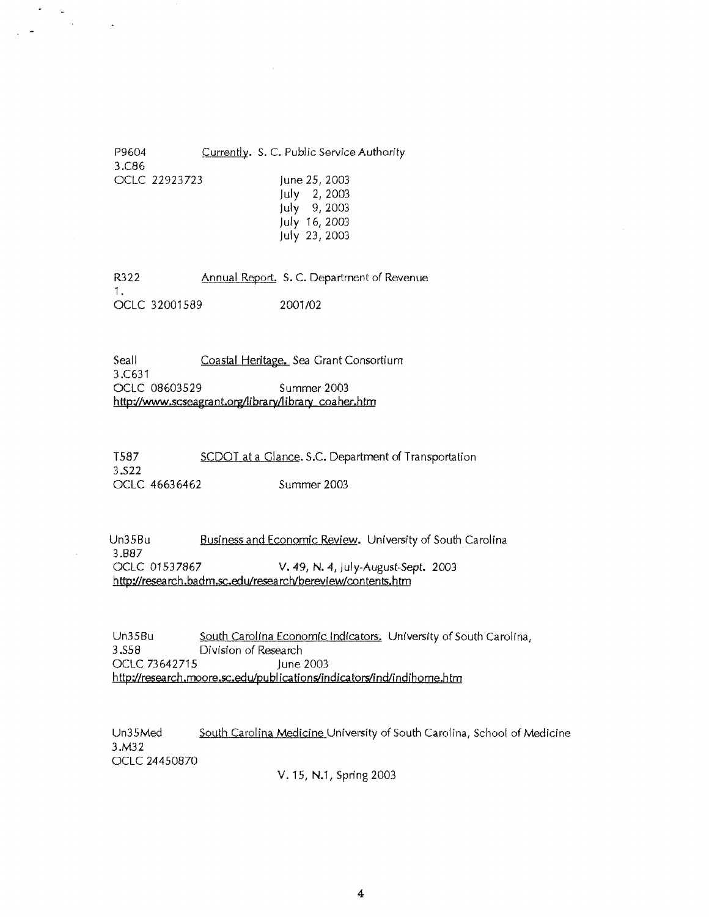P9604 .Currently. S. C. Public Service Authority 3.C86 OCLC 22923723 june 25, 2003 july 2, 2003 july 9, 2003 july 16, 2003 july 23, 2003

 $\bullet$ Ľ,  $\mathcal{L}$ 

> R322 Annual Report. S.C. Department of Revenue 1. OCLC 32001589 2001/02

Seall Coastal Heritage. Sea Grant Consortium 3.C631 OCLC 08603529 Summer 2003 **http://www.scseagrant.orgllibraryllibrary coaher.htm** 

T587 SCDOT at a Glance. S.C. Department of Transportation 3.522 OCLC 4663 6462 Summer 2003

Un35Bu .Busines~and Economic ~view. University of South Carolina 3.887 OCLC 01537867 V. 49, **N.** *4,* July-August-Sept. 2003 **http://research.badm.sc.edu/research/berevlew/contents.htm** 

Un35Bu South Carolina Economic Indicators. University of South Carolina, 3 .S58 Division of Research OCLC 73642715 June 2003 **http;//research.moore.sc.edu!publications/indicators/ind/indihome.htm** 

Un35Med South Carolina Medicine University of South Carolina, School of Medicine 3.M32 OCLC 24450870

V.15, N.1, Spring2003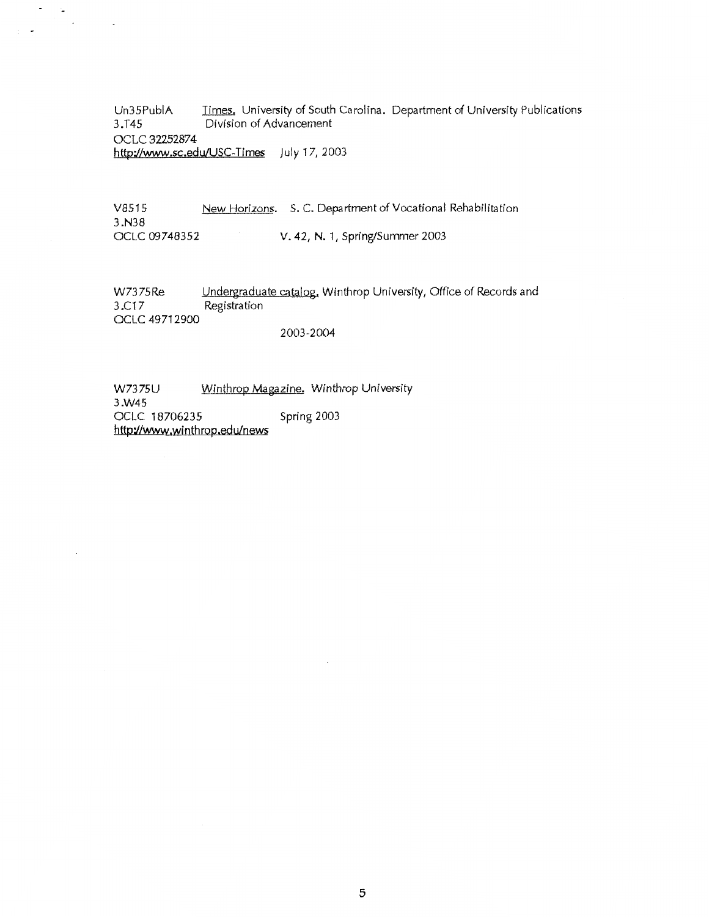Un35PubiA 3.T45 Times. University of South Carolina. Department of University Publications Division of Advancement OCLC 32252874 **http://www.sc.edu/USC-Times** July 17, 2003

V8515 New Horizons. S.C. Department of Vocational Rehabilitation 3.N38<br>OCLC 09748352 V. 42, N. 1, Spring/Summer 2003

W7375Re Undergraduate catalog. Winthrop University, Office of Records and 3.C17 Registration OCLC 49712900

### 2003--2004

W7375U Winthrop Magazine. Winthrop University 3.W45 OCLC 18706235 Spring 2003 http://www.winthrop.edu/news

·-

 $\sim$ 

 $\ddot{\phantom{a}}$ 

 $\Box$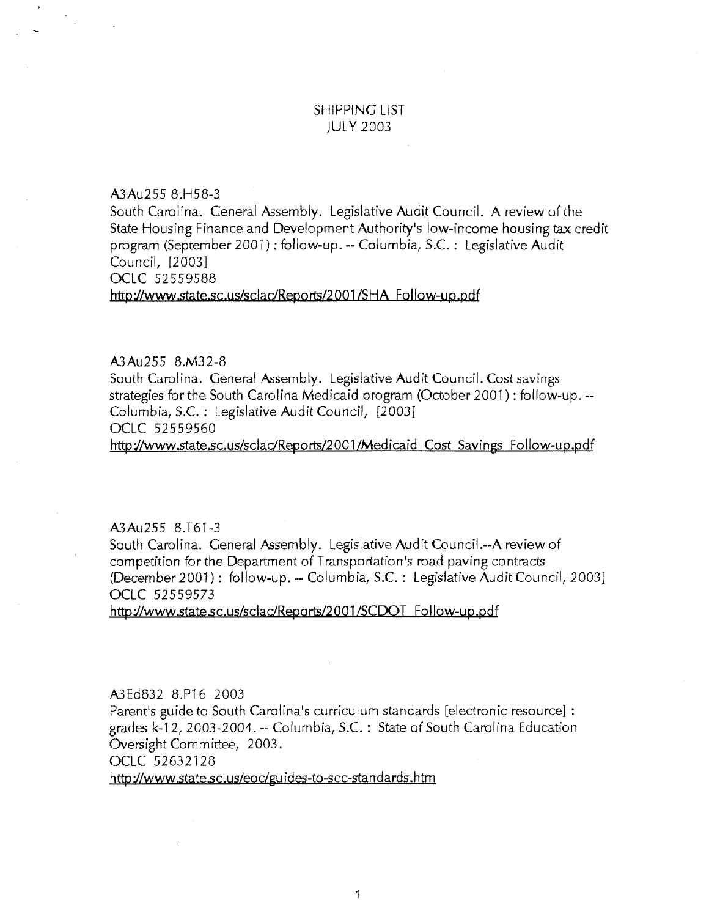# SHIPPING LIST JULY 2003

A3Au255 8.H58-3

South Carolina. General Assembly. Legislative Audit Council. A review of the State Housing Finance and Development Authority's low-income housing tax credit program (September 2001): follow-up.-- Columbia, S.C. : Legislative Audit Council, [2003] OCLC 52559588

http://www.state.sc.us/scladReports/2001 /SHA Follow-up.pdf

#### A3Au255 8.M32-8

South Carolina. General Assembly. Legislative Audit Council. Cost savings strategies for the South Carolina Medicaid program (October 2001): follow-up.-- Columbia, S.C. : Legislative Audit Council, [2003] OCLC 52559560 http://www.state.sc.us/sclac/Reports/2001/Medicaid Cost Savings Follow-up.pdf

A3Au255 8.T61-3

South Carolina. General Assembly. Legislative Audit Councii.--A review of competition for the Department of Transportation's road paving contracts (December 2001): follow-up.-- Columbia, S.C. : Legislative Audit Council, 2003] OCLC 52559573

http://www.state.sc.us/scladReports/2001/SCDOT Follow-up.pdf

A3 Ed832 8.P16 2003

Parent's guide to South Carolina's curriculum standards [electronic resource] :grades k-12, 2003-2004. --Columbia, S.C. : State of South Carolina Education Oversight Committee, 2003.

OCLC 52632128

http://www.state.sc.us/eoc/guides-to-scc-standards.htm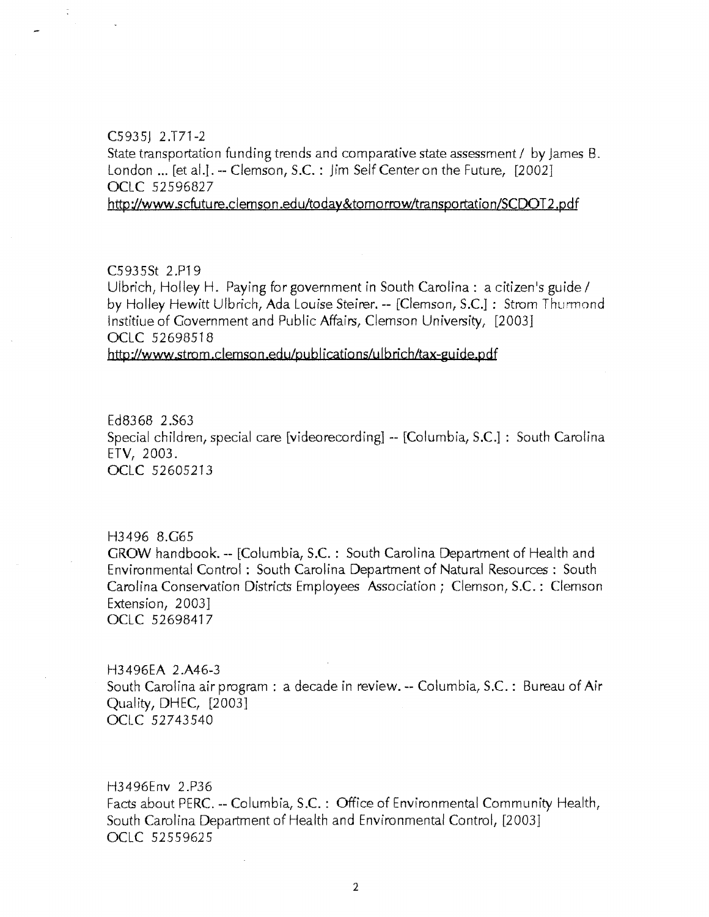#### $C5935$ ] 2.T71-2

 $\ddot{\cdot}$ 

State transportation funding trends and comparative state assessment / by James B. London ... [et al.]. -- Clemson, S.C. : Jim Self Center on the Future, [2002] OCLC 52596827

http://www.scfuture.clemson.edu/today&tomorrow/transportation/SCDOT2.pdf

#### C.593.5St 2.P19

Ulbrich, Holley H. Paying for government in South Carolina : a citizen's guide / by Holley Hewitt Ulbrich, Ada Louise Steirer. -- [Clemson, S.C.] : Strom Thurmond lnstitiue of Government and Public Affairs, Clemson University, [20031 OCLC 52698518 http://www.strom.clemson.edulpublications/ulbrichltax-guide.pdf

Ed8368 2.S63 Special children, special care [video recording] -- [Columbia, S.C.] : South Carolina ETV, 2003. OCLC 52605213

H3496 8.G65 GROW handbook.-- [Columbia, S.C. : South Carolina Department of Health and Environmental Control : South Carolina Department of Natural Resources : South Carolina Conservation Districts Employees Association *i* Clemson, S.C.: Clemson Extension, 2003] OCLC 52698417

H3496EA 2.A46-3 South Carolina air program : a decade in review.-- Columbia, S.C. : Bureau of Air Quality, DHEC, [2003] OCLC 52743.540

H3496Env 2 .P36 Facts about PERC. -- Columbia, S.C. : Office of Environmental Community Health, South Carolina Department of Health and Environmental Control, [2003] OCLC 52559625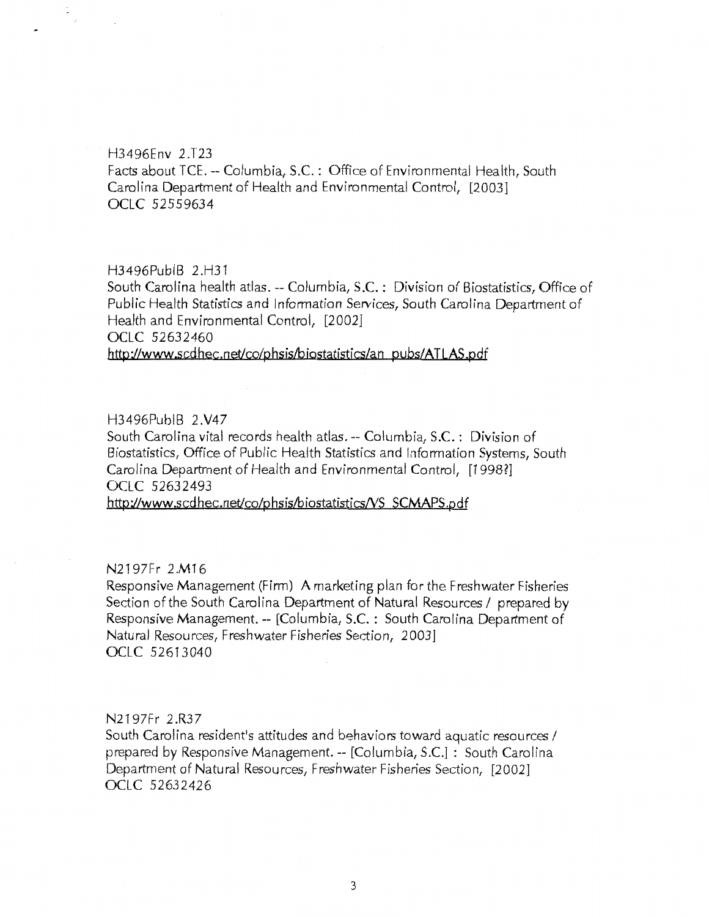#### H3496Env 2.T23

 $\mathcal{L}^{\mathcal{C}}$ 

Facts about TCE. --Columbia, S.C. : Office of Environmental Health, South Carolina Department of Health and Environmental Control, [2003] OCLC 52559634

#### H3496PubiB 2.H31

South Carolina health atlas.-- Columbia, S.C. : Division of Biostatistics, Office of Public Health Statistics and Information Services, South Carolina Department of Health and Environmental Control, [2002] OCLC 52632460

http://www.scdhec.net/co/phsis/biostatistics/an\_pubs/ATLAS.pdf

### H3496PubiB 2 .V47

South Carolina vital records health atlas.-- Columbia, S.C. : Division of Biostatistics, Office of Public Health Statistics and Information Systems, South Carolina Department of Health and Environmental Control, [1998?] OCLC 52632493

http://www.scdhec.net/co/phsis/biostatistics/VS\_SCMAPS.pdf

# N2197Fr 2.M16

Responsive Management (Firm) A marketing plan for the Freshwater Fisheries Section of the South Carolina Department of Natural Resources / prepared by Responsive Management.-- [Columbia, S.C. : South Carolina Department of Natural Resources, Freshwater Fisheries Section, 2003] OCLC 52613040

### N2197Fr 2.R37

South Carolina resident's attitudes and behaviors toward aquatic resources / prepared by Responsive Management.-- [Columbia, S.C.] : South Carolina Department of Natural Resources, Freshwater Fisheries Section, [2002] OCLC 526.32426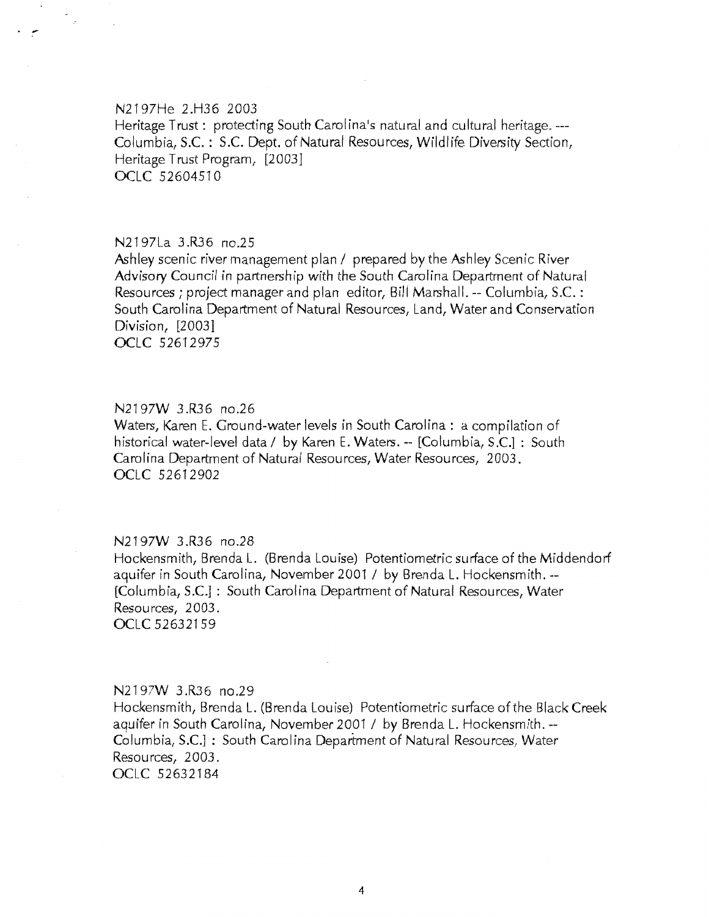### N2.197He 2.H36 2003

Heritage Trust: protecting South Carolina's natural and cultural heritage. ---Columbia, S.C. : S.C. Dept. of Natural Resources, Wildlife Diversity Section, Heritage Trust Program, [2003] OCLC 52604510

#### N2197La 3 .R36 no.25

Ashley scenic river management plan / prepared by the Ashley Scenic River Advisory Council in partnership with the South Carolina Department of Natural Resources; project manager and plan editor, Bill Marshall.-- Columbia, S.C.: South Carolina Department of Natural Resources, Land, Water and Conservation Division, [2003] OCLC 52612975

### N2197W 3.R36 no.26

Waters, Karen E. Ground-water levels in South Carolina: a compilation of historical water-level data / by Karen E. Waters. -- [Columbia, S.C.] : South Carolina Department of Natural Resources, Water Resources, 2003. OCLC 52612902

# N2197W 3.R36 no.28

Hockensmith, Brenda L. (Brenda Louise) Potentiometric surface of the Middendorf aquifer in South Carolina, Novernber 2001 I by Brenda L. Hockensmith.-- [Columbia, S.C.] : South Carolina Department of Natural Resources, Water Resources, 2003. OCLC 52632159

### N2197W 3.R36 no.29

Hockensmith, Brenda L. (Brenda Louise) Potentiometric surface of the Black Creek aquifer in South Carolina, November 2001 I by Brenda L. Hockensmith.-- Columbia, S.C.] : South Carolina Department of Natural Resources, Water Resources, 2003. OCLC 52632184